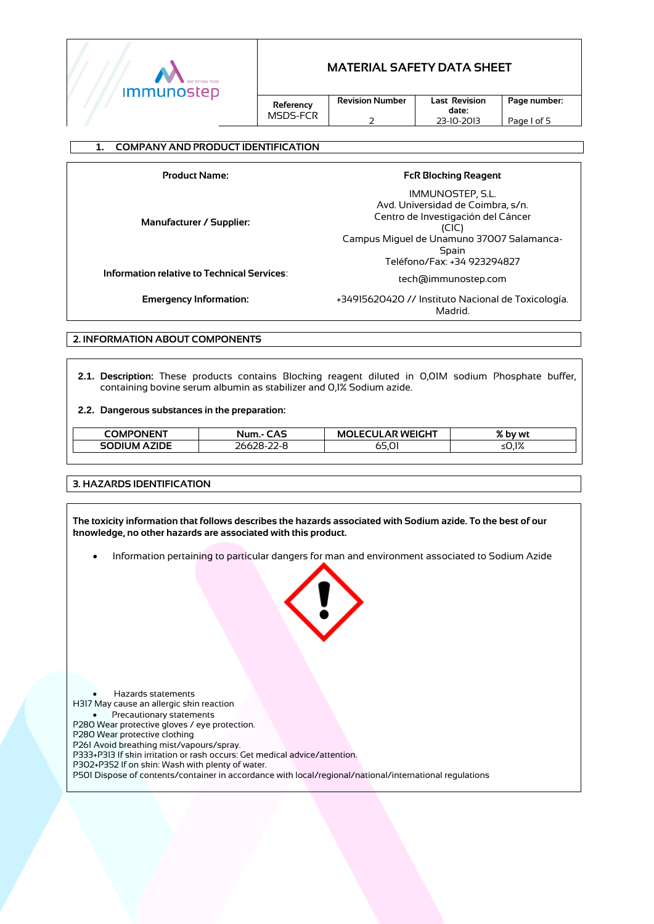

**date:**  23-10-2013

**Referency** MSDS-FCR **Revision Number**

 $\overline{\phantom{0}}$ 

**Last Revision Page number:**

Page 1 of 5

#### **1. COMPANY AND PRODUCT IDENTIFICATION**

**Product Name: FcR Blocking Reagent Manufacturer / Supplier:** IMMUNOSTEP, S.L. Avd. Universidad de Coimbra, s/n. Centro de Investigación del Cáncer (CIC) Campus Miguel de Unamuno 37007 Salamanca-Spain Teléfono/Fax: +34 923294827 **Information relative to Technical Services**: tech@immunostep.com **Emergency Information:** +34915620420 // Instituto Nacional de Toxicología. Madrid.

**2. INFORMATION ABOUT COMPONENTS**

**2.1. Description:** These products contains Blocking reagent diluted in 0,01M sodium Phosphate buffer, containing bovine serum albumin as stabilizer and 0,1% Sodium azide.

#### **2.2. Dangerous substances in the preparation:**

| COMPONENT                 | <b>CAS</b><br>Num.            | .AR WEIGHT<br>πш<br>. JI FC<br>M١ | n/ I<br>% by wt |
|---------------------------|-------------------------------|-----------------------------------|-----------------|
| <b>JM AZIDE</b><br>SODIL. | $26628 -$<br>$\epsilon$<br>∠∠ | 65.01                             | ≤0.1%           |

#### **3. HAZARDS IDENTIFICATION**

**The toxicity information that follows describes the hazards associated with Sodium azide. To the best of our knowledge, no other hazards are associated with this product.**

Information pertaining to particular dangers for man and environment associated to Sodium Azide



 Hazards statements H317 May cause an allergic skin reaction Precautionary statements P280 Wear protective gloves / eye protection. P280 Wear protective clothing P261 Avoid breathing mist/vapours/spray. P333+P313 If skin irritation or rash occurs: Get medical advice/attention. P302+P352 If on skin: Wash with plenty of water. P501 Dispose of contents/container in accordance with local/regional/national/international regulations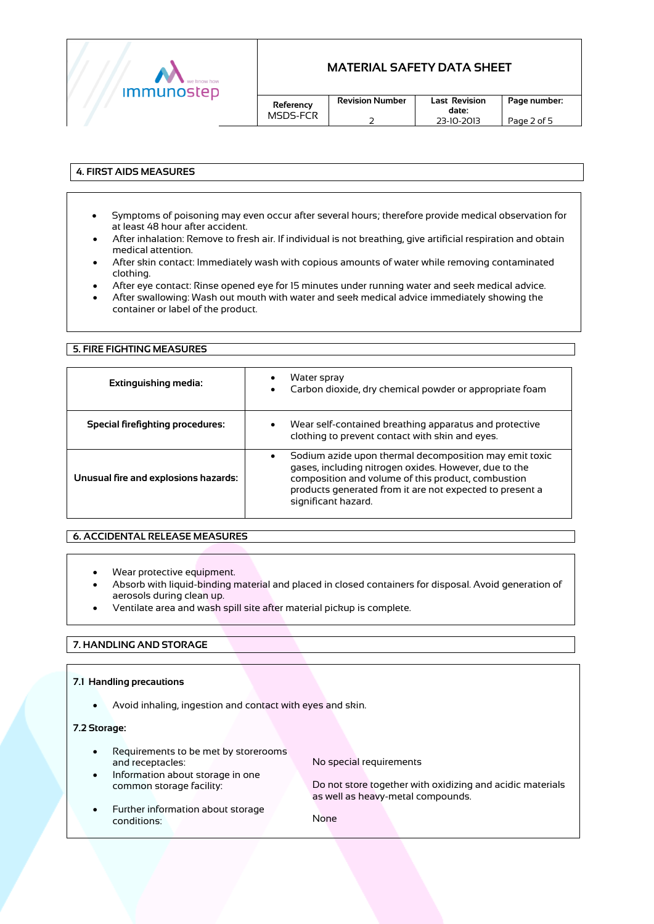

| Referency |  |
|-----------|--|
| MSDS-FCR  |  |

### **4. FIRST AIDS MEASURES**

- Symptoms of poisoning may even occur after several hours; therefore provide medical observation for at least 48 hour after accident.
- After inhalation: Remove to fresh air. If individual is not breathing, give artificial respiration and obtain medical attention.
- After skin contact: Immediately wash with copious amounts of water while removing contaminated clothing.
- After eye contact: Rinse opened eye for 15 minutes under running water and seek medical advice.
- After swallowing: Wash out mouth with water and seek medical advice immediately showing the container or label of the product.

#### **5. FIRE FIGHTING MEASURES**

| Extinguishing media:                 | Water spray<br>٠<br>Carbon dioxide, dry chemical powder or appropriate foam                                                                                                                                                                                           |
|--------------------------------------|-----------------------------------------------------------------------------------------------------------------------------------------------------------------------------------------------------------------------------------------------------------------------|
| Special firefighting procedures:     | Wear self-contained breathing apparatus and protective<br>$\bullet$<br>clothing to prevent contact with skin and eyes.                                                                                                                                                |
| Unusual fire and explosions hazards: | Sodium azide upon thermal decomposition may emit toxic<br>$\bullet$<br>gases, including nitrogen oxides. However, due to the<br>composition and volume of this product, combustion<br>products generated from it are not expected to present a<br>significant hazard. |

### **6. ACCIDENTAL RELEASE MEASURES**

- Wear protective equipment.
- Absorb with liquid-binding material and placed in closed containers for disposal. Avoid generation of aerosols during clean up.
- Ventilate area and wash spill site after material pickup is complete.

### **7. HANDLING AND STORAGE**

#### **7.1 Handling precautions**

Avoid inhaling, ingestion and contact with eyes and skin.

#### **7.2 Storage:**

- Requirements to be met by storerooms and receptacles:
	- Information about storage in one common storage facility:

No special requirements

Do not store together with oxidizing and acidic materials as well as heavy-metal compounds.

 Further information about storage conditions:

None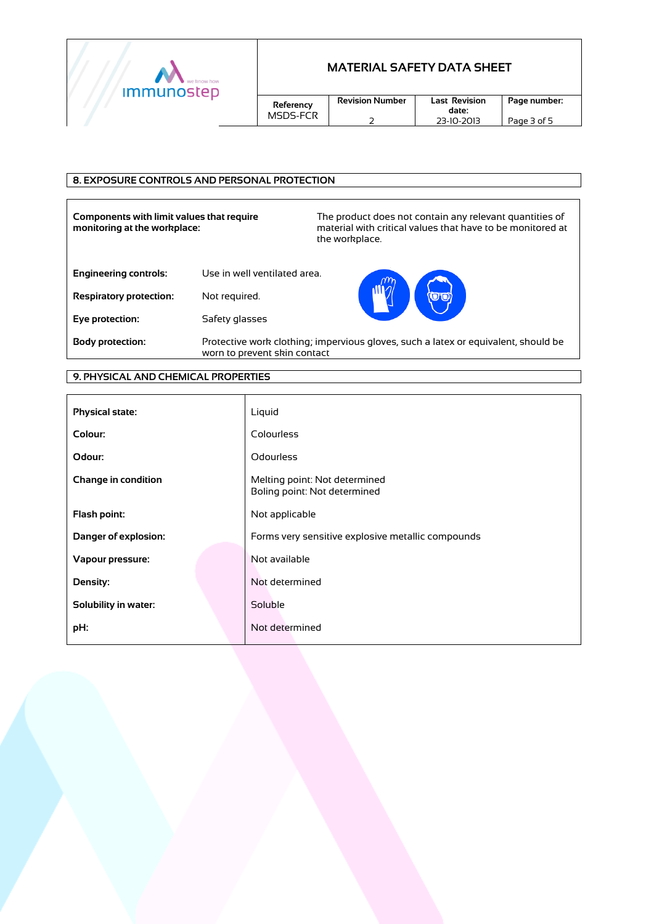

| Referency<br>MSDS-FCR |  |
|-----------------------|--|
|                       |  |

**Revision Number** 2

### **8. EXPOSURE CONTROLS AND PERSONAL PROTECTION**

**Components with limit values that require monitoring at the workplace:**

The product does not contain any relevant quantities of material with critical values that have to be monitored at the workplace.

**date:** 

| <b>Engineering controls:</b> | Use in well ventilated area. |
|------------------------------|------------------------------|
|                              |                              |

**Respiratory protection:** Not required.

**Eye protection:**  Safety glasses



**Body protection:** Protective work clothing; impervious gloves, such a latex or equivalent, should be worn to prevent skin contact

## **9. PHYSICAL AND CHEMICAL PROPERTIES**

| <b>Physical state:</b>      | Liquid                                                        |
|-----------------------------|---------------------------------------------------------------|
| Colour:                     | Colourless                                                    |
| Odour:                      | <b>Odourless</b>                                              |
| <b>Change in condition</b>  | Melting point: Not determined<br>Boling point: Not determined |
| Flash point:                | Not applicable                                                |
| <b>Danger of explosion:</b> | Forms very sensitive explosive metallic compounds             |
| Vapour pressure:            | Not available                                                 |
| Density:                    | Not determined                                                |
| Solubility in water:        | Soluble                                                       |
| pH:                         | Not determined                                                |
|                             |                                                               |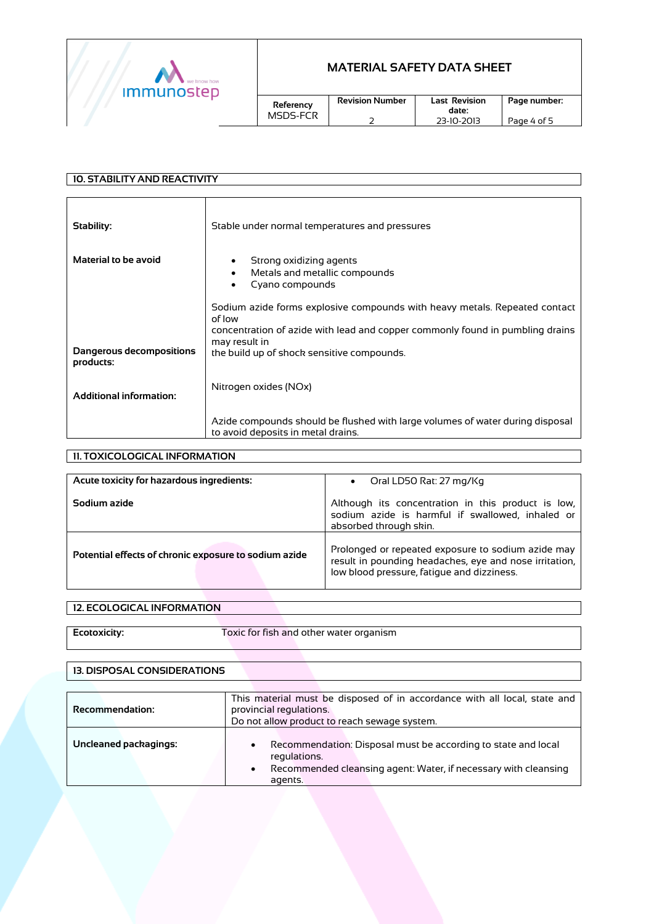

**date:** 

| Referency |  |
|-----------|--|
| MSDS-FCR  |  |

 $\overline{2}$ 

# **10. STABILITY AND REACTIVITY Stability: Material to be avoid Dangerous decompositions products: Additional information:** Stable under normal temperatures and pressures Strong oxidizing agents Metals and metallic compounds Cyano compounds Sodium azide forms explosive compounds with heavy metals. Repeated contact of low concentration of azide with lead and copper commonly found in pumbling drains may result in the build up of shock sensitive compounds. Nitrogen oxides (NOx) Azide compounds should be flushed with large volumes of water during disposal to avoid deposits in metal drains.

### **11. TOXICOLOGICAL INFORMATION**

| Acute toxicity for hazardous ingredients:             | Oral LD50 Rat: 27 mg/Kg<br>$\bullet$                                                                                                                       |
|-------------------------------------------------------|------------------------------------------------------------------------------------------------------------------------------------------------------------|
| Sodium azide                                          | Although its concentration in this product is low,<br>sodium azide is harmful if swallowed, inhaled or<br>absorbed through skin.                           |
| Potential effects of chronic exposure to sodium azide | Prolonged or repeated exposure to sodium azide may<br>result in pounding headaches, eye and nose irritation,<br>low blood pressure, fatique and dizziness. |

#### **12. ECOLOGICAL INFORMATION**

**Ecotoxicity:** Toxic for fish and other water organism

#### **13. DISPOSAL CONSIDERATIONS**

| <b>Recommendation:</b> | This material must be disposed of in accordance with all local, state and<br>provincial regulations.<br>Do not allow product to reach sewage system.                     |
|------------------------|--------------------------------------------------------------------------------------------------------------------------------------------------------------------------|
| Uncleaned packagings:  | Recommendation: Disposal must be according to state and local<br>regulations.<br>Recommended cleansing agent: Water, if necessary with cleansing<br>$\bullet$<br>agents. |